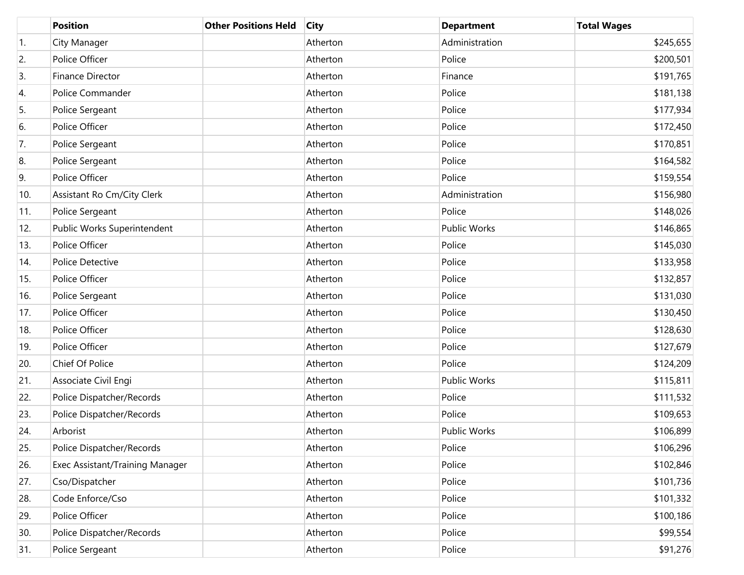|     | <b>Position</b>                 | <b>Other Positions Held</b> | <b>City</b> | <b>Department</b>   | <b>Total Wages</b> |
|-----|---------------------------------|-----------------------------|-------------|---------------------|--------------------|
| 1.  | City Manager                    |                             | Atherton    | Administration      | \$245,655          |
| 2.  | Police Officer                  |                             | Atherton    | Police              | \$200,501          |
| 3.  | Finance Director                |                             | Atherton    | Finance             | \$191,765          |
| 4.  | Police Commander                |                             | Atherton    | Police              | \$181,138          |
| 5.  | Police Sergeant                 |                             | Atherton    | Police              | \$177,934          |
| 6.  | Police Officer                  |                             | Atherton    | Police              | \$172,450          |
| 7.  | Police Sergeant                 |                             | Atherton    | Police              | \$170,851          |
| 8.  | Police Sergeant                 |                             | Atherton    | Police              | \$164,582          |
| 9.  | Police Officer                  |                             | Atherton    | Police              | \$159,554          |
| 10. | Assistant Ro Cm/City Clerk      |                             | Atherton    | Administration      | \$156,980          |
| 11. | Police Sergeant                 |                             | Atherton    | Police              | \$148,026          |
| 12. | Public Works Superintendent     |                             | Atherton    | <b>Public Works</b> | \$146,865          |
| 13. | Police Officer                  |                             | Atherton    | Police              | \$145,030          |
| 14. | Police Detective                |                             | Atherton    | Police              | \$133,958          |
| 15. | Police Officer                  |                             | Atherton    | Police              | \$132,857          |
| 16. | Police Sergeant                 |                             | Atherton    | Police              | \$131,030          |
| 17. | Police Officer                  |                             | Atherton    | Police              | \$130,450          |
| 18. | Police Officer                  |                             | Atherton    | Police              | \$128,630          |
| 19. | Police Officer                  |                             | Atherton    | Police              | \$127,679          |
| 20. | Chief Of Police                 |                             | Atherton    | Police              | \$124,209          |
| 21. | Associate Civil Engi            |                             | Atherton    | Public Works        | \$115,811          |
| 22. | Police Dispatcher/Records       |                             | Atherton    | Police              | \$111,532          |
| 23. | Police Dispatcher/Records       |                             | Atherton    | Police              | \$109,653          |
| 24. | Arborist                        |                             | Atherton    | <b>Public Works</b> | \$106,899          |
| 25. | Police Dispatcher/Records       |                             | Atherton    | Police              | \$106,296          |
| 26. | Exec Assistant/Training Manager |                             | Atherton    | Police              | \$102,846          |
| 27. | Cso/Dispatcher                  |                             | Atherton    | Police              | \$101,736          |
| 28. | Code Enforce/Cso                |                             | Atherton    | Police              | \$101,332          |
| 29. | Police Officer                  |                             | Atherton    | Police              | \$100,186          |
| 30. | Police Dispatcher/Records       |                             | Atherton    | Police              | \$99,554           |
| 31. | Police Sergeant                 |                             | Atherton    | Police              | \$91,276           |